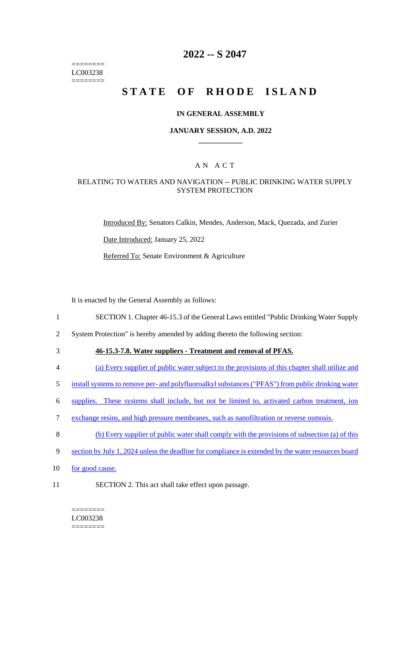======== LC003238 ========

## **2022 -- S 2047**

# **STATE OF RHODE ISLAND**

#### **IN GENERAL ASSEMBLY**

#### **JANUARY SESSION, A.D. 2022 \_\_\_\_\_\_\_\_\_\_\_\_**

### A N A C T

#### RELATING TO WATERS AND NAVIGATION -- PUBLIC DRINKING WATER SUPPLY SYSTEM PROTECTION

Introduced By: Senators Calkin, Mendes, Anderson, Mack, Quezada, and Zurier

Date Introduced: January 25, 2022

Referred To: Senate Environment & Agriculture

It is enacted by the General Assembly as follows:

- 1 SECTION 1. Chapter 46-15.3 of the General Laws entitled "Public Drinking Water Supply
- 2 System Protection" is hereby amended by adding thereto the following section:
- 

# 3 **46-15.3-7.8. Water suppliers - Treatment and removal of PFAS.**

- 4 (a) Every supplier of public water subject to the provisions of this chapter shall utilize and
- 5 install systems to remove per- and polyfluoroalkyl substances ("PFAS") from public drinking water
- 6 supplies. These systems shall include, but not be limited to, activated carbon treatment, ion
- 7 exchange resins, and high pressure membranes, such as nanofiltration or reverse osmosis.
- 8 (b) Every supplier of public water shall comply with the provisions of subsection (a) of this
- 9 section by July 1, 2024 unless the deadline for compliance is extended by the water resources board
- 10 for good cause.
- 11 SECTION 2. This act shall take effect upon passage.

======== LC003238 ========